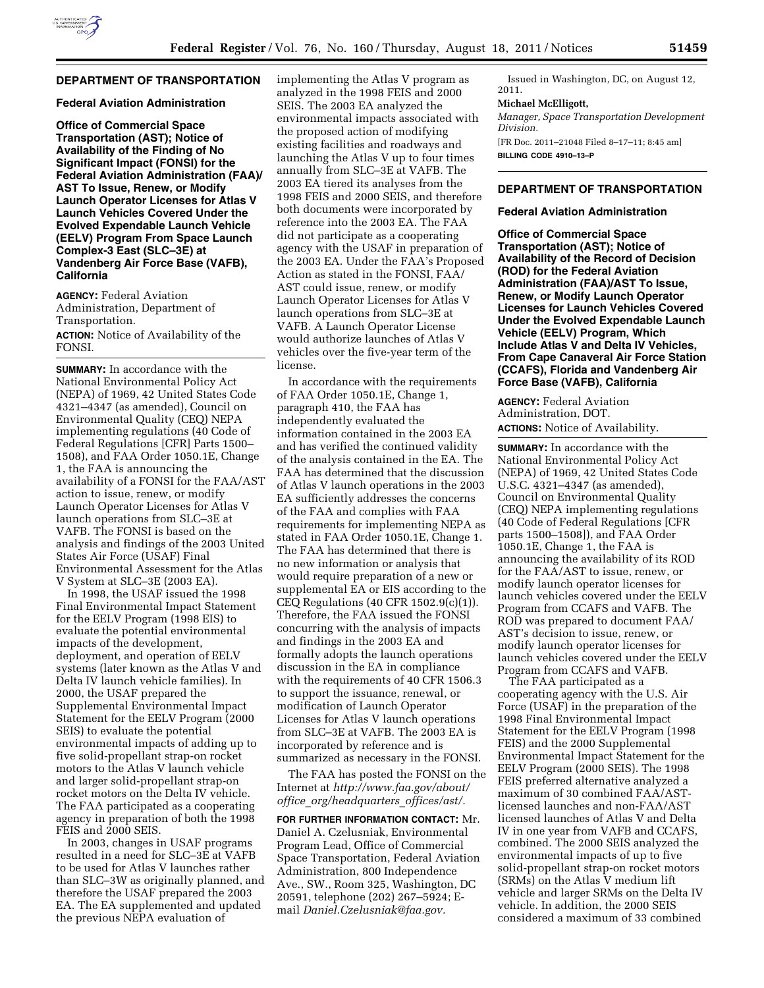# **DEPARTMENT OF TRANSPORTATION**

# **Federal Aviation Administration**

**Office of Commercial Space Transportation (AST); Notice of Availability of the Finding of No Significant Impact (FONSI) for the Federal Aviation Administration (FAA)/ AST To Issue, Renew, or Modify Launch Operator Licenses for Atlas V Launch Vehicles Covered Under the Evolved Expendable Launch Vehicle (EELV) Program From Space Launch Complex-3 East (SLC–3E) at Vandenberg Air Force Base (VAFB), California** 

**AGENCY:** Federal Aviation Administration, Department of Transportation. **ACTION:** Notice of Availability of the FONSI.

**SUMMARY:** In accordance with the National Environmental Policy Act (NEPA) of 1969, 42 United States Code 4321–4347 (as amended), Council on Environmental Quality (CEQ) NEPA implementing regulations (40 Code of Federal Regulations [CFR] Parts 1500– 1508), and FAA Order 1050.1E, Change 1, the FAA is announcing the availability of a FONSI for the FAA/AST action to issue, renew, or modify Launch Operator Licenses for Atlas V launch operations from SLC–3E at VAFB. The FONSI is based on the analysis and findings of the 2003 United States Air Force (USAF) Final Environmental Assessment for the Atlas V System at SLC–3E (2003 EA).

In 1998, the USAF issued the 1998 Final Environmental Impact Statement for the EELV Program (1998 EIS) to evaluate the potential environmental impacts of the development, deployment, and operation of EELV systems (later known as the Atlas V and Delta IV launch vehicle families). In 2000, the USAF prepared the Supplemental Environmental Impact Statement for the EELV Program (2000 SEIS) to evaluate the potential environmental impacts of adding up to five solid-propellant strap-on rocket motors to the Atlas V launch vehicle and larger solid-propellant strap-on rocket motors on the Delta IV vehicle. The FAA participated as a cooperating agency in preparation of both the 1998 FEIS and 2000 SEIS.

In 2003, changes in USAF programs resulted in a need for SLC–3E at VAFB to be used for Atlas V launches rather than SLC–3W as originally planned, and therefore the USAF prepared the 2003 EA. The EA supplemented and updated the previous NEPA evaluation of

implementing the Atlas V program as analyzed in the 1998 FEIS and 2000 SEIS. The 2003 EA analyzed the environmental impacts associated with the proposed action of modifying existing facilities and roadways and launching the Atlas V up to four times annually from SLC–3E at VAFB. The 2003 EA tiered its analyses from the 1998 FEIS and 2000 SEIS, and therefore both documents were incorporated by reference into the 2003 EA. The FAA did not participate as a cooperating agency with the USAF in preparation of the 2003 EA. Under the FAA's Proposed Action as stated in the FONSI, FAA/ AST could issue, renew, or modify Launch Operator Licenses for Atlas V launch operations from SLC–3E at VAFB. A Launch Operator License would authorize launches of Atlas V vehicles over the five-year term of the license.

In accordance with the requirements of FAA Order 1050.1E, Change 1, paragraph 410, the FAA has independently evaluated the information contained in the 2003 EA and has verified the continued validity of the analysis contained in the EA. The FAA has determined that the discussion of Atlas V launch operations in the 2003 EA sufficiently addresses the concerns of the FAA and complies with FAA requirements for implementing NEPA as stated in FAA Order 1050.1E, Change 1. The FAA has determined that there is no new information or analysis that would require preparation of a new or supplemental EA or EIS according to the CEQ Regulations (40 CFR 1502.9(c)(1)). Therefore, the FAA issued the FONSI concurring with the analysis of impacts and findings in the 2003 EA and formally adopts the launch operations discussion in the EA in compliance with the requirements of 40 CFR 1506.3 to support the issuance, renewal, or modification of Launch Operator Licenses for Atlas V launch operations from SLC–3E at VAFB. The 2003 EA is incorporated by reference and is summarized as necessary in the FONSI.

The FAA has posted the FONSI on the Internet at *[http://www.faa.gov/about/](http://www.faa.gov/about/office_org/headquarters_offices/ast/)  office*\_*[org/headquarters](http://www.faa.gov/about/office_org/headquarters_offices/ast/)*\_*offices/ast/.* 

**FOR FURTHER INFORMATION CONTACT:** Mr. Daniel A. Czelusniak, Environmental Program Lead, Office of Commercial Space Transportation, Federal Aviation Administration, 800 Independence Ave., SW., Room 325, Washington, DC 20591, telephone (202) 267–5924; Email *[Daniel.Czelusniak@faa.gov.](mailto:Daniel.Czelusniak@faa.gov)* 

Issued in Washington, DC, on August 12, 2011.

# **Michael McElligott,**

*Manager, Space Transportation Development Division.*  [FR Doc. 2011–21048 Filed 8–17–11; 8:45 am] **BILLING CODE 4910–13–P** 

### **DEPARTMENT OF TRANSPORTATION**

# **Federal Aviation Administration**

**Office of Commercial Space Transportation (AST); Notice of Availability of the Record of Decision (ROD) for the Federal Aviation Administration (FAA)/AST To Issue, Renew, or Modify Launch Operator Licenses for Launch Vehicles Covered Under the Evolved Expendable Launch Vehicle (EELV) Program, Which Include Atlas V and Delta IV Vehicles, From Cape Canaveral Air Force Station (CCAFS), Florida and Vandenberg Air Force Base (VAFB), California** 

**AGENCY:** Federal Aviation Administration, DOT. **ACTIONS:** Notice of Availability.

**SUMMARY:** In accordance with the National Environmental Policy Act (NEPA) of 1969, 42 United States Code U.S.C. 4321–4347 (as amended), Council on Environmental Quality (CEQ) NEPA implementing regulations (40 Code of Federal Regulations [CFR parts 1500–1508]), and FAA Order 1050.1E, Change 1, the FAA is announcing the availability of its ROD for the FAA/AST to issue, renew, or modify launch operator licenses for launch vehicles covered under the EELV Program from CCAFS and VAFB. The ROD was prepared to document FAA/ AST's decision to issue, renew, or modify launch operator licenses for launch vehicles covered under the EELV Program from CCAFS and VAFB.

The FAA participated as a cooperating agency with the U.S. Air Force (USAF) in the preparation of the 1998 Final Environmental Impact Statement for the EELV Program (1998 FEIS) and the 2000 Supplemental Environmental Impact Statement for the EELV Program (2000 SEIS). The 1998 FEIS preferred alternative analyzed a maximum of 30 combined FAA/ASTlicensed launches and non-FAA/AST licensed launches of Atlas V and Delta IV in one year from VAFB and CCAFS, combined. The 2000 SEIS analyzed the environmental impacts of up to five solid-propellant strap-on rocket motors (SRMs) on the Atlas V medium lift vehicle and larger SRMs on the Delta IV vehicle. In addition, the 2000 SEIS considered a maximum of 33 combined